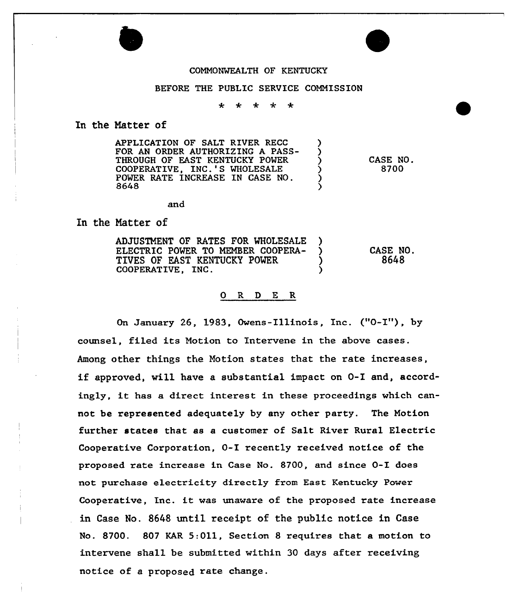

## BEFORE THE PUBLIC SERVICE COMMISSION

 $\ddot{\textbf{r}}$  $\star$  $\rightarrow$  $\ddot{\bullet}$ 

In the Natter of

| <b>APPLICATION OF SALT RIVER RECC</b><br><b>FOR AN ORDER AUTHORIZING A PASS-</b><br>THROUGH OF EAST KENTUCKY POWER<br>COOPERATIVE. INC.'S WHOLESALE<br>POWER RATE INCREASE IN CASE NO.<br>8648 |  | CASE NO<br>8700 |
|------------------------------------------------------------------------------------------------------------------------------------------------------------------------------------------------|--|-----------------|
|------------------------------------------------------------------------------------------------------------------------------------------------------------------------------------------------|--|-----------------|

and

In the Natter of

| <b>ADJUSTMENT OF RATES FOR WHOLESALE</b><br>ELECTRIC POWER TO MEMBER COOPERA-<br>TIVES OF EAST KENTUCKY POWER<br>COOPERATIVE, INC. |  | CASE NO.<br>8648 |
|------------------------------------------------------------------------------------------------------------------------------------|--|------------------|
|------------------------------------------------------------------------------------------------------------------------------------|--|------------------|

## ORDER

On January 26, 1983, Owens-Illinois, Inc. ("0-I"), by counsel, filed its Motion to Intervene in the above cases. Among other things the Notion states that the rate increases, if approved, will have <sup>a</sup> substantial impact on 0-I and, accordingly, it has <sup>a</sup> direct interest in these proceedings which cannot be represented adequately by any other party. The Notion further states that as a customer of Salt River Rural Electric Cooperative Corporation, 0-I recently received notice of the proposed rate increase in Case No. 8700, and since 0-I does not purchase electricity directly from East Kentucky Power Cooperative, Inc. it was unaware of the proposed rate increase in Case No. 8648 until receipt of the public notice in Case No. 8700. 807 KAR S:011, Section 8 requires that a motion to intervene shall be submitted within 30 days after receiving notice of a proposed rate change.